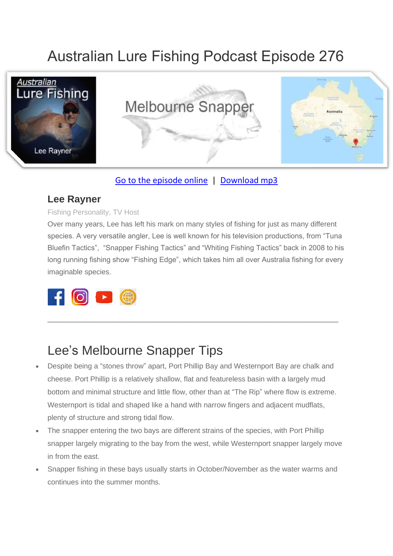# Australian Lure Fishing Podcast Episode 276



#### [Go to the episode online](https://doclures.com/kununurra-barramundi-dick-pasfield/) | [Download mp3](https://traffic.libsyn.com/secure/doclures/kununurra-barramundi-dick-pasfield.mp3)

#### **Lee Rayner**

#### Fishing Personality, TV Host

Over many years, Lee has left his mark on many styles of fishing for just as many different species. A very versatile angler, Lee is well known for his television productions, from "Tuna Bluefin Tactics", "Snapper Fishing Tactics" and "Whiting Fishing Tactics" back in 2008 to his long running fishing show "Fishing Edge", which takes him all over Australia fishing for every imaginable species.

 $\_$  , and the set of the set of the set of the set of the set of the set of the set of the set of the set of the set of the set of the set of the set of the set of the set of the set of the set of the set of the set of th



#### Lee's Melbourne Snapper Tips

- Despite being a "stones throw" apart, Port Phillip Bay and Westernport Bay are chalk and cheese. Port Phillip is a relatively shallow, flat and featureless basin with a largely mud bottom and minimal structure and little flow, other than at "The Rip" where flow is extreme. Westernport is tidal and shaped like a hand with narrow fingers and adjacent mudflats, plenty of structure and strong tidal flow.
- The snapper entering the two bays are different strains of the species, with Port Phillip snapper largely migrating to the bay from the west, while Westernport snapper largely move in from the east.
- Snapper fishing in these bays usually starts in October/November as the water warms and continues into the summer months.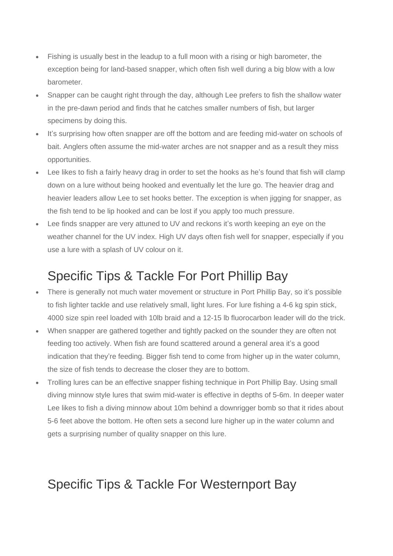- Fishing is usually best in the leadup to a full moon with a rising or high barometer, the exception being for land-based snapper, which often fish well during a big blow with a low barometer.
- Snapper can be caught right through the day, although Lee prefers to fish the shallow water in the pre-dawn period and finds that he catches smaller numbers of fish, but larger specimens by doing this.
- It's surprising how often snapper are off the bottom and are feeding mid-water on schools of bait. Anglers often assume the mid-water arches are not snapper and as a result they miss opportunities.
- Lee likes to fish a fairly heavy drag in order to set the hooks as he's found that fish will clamp down on a lure without being hooked and eventually let the lure go. The heavier drag and heavier leaders allow Lee to set hooks better. The exception is when jigging for snapper, as the fish tend to be lip hooked and can be lost if you apply too much pressure.
- Lee finds snapper are very attuned to UV and reckons it's worth keeping an eye on the weather channel for the UV index. High UV days often fish well for snapper, especially if you use a lure with a splash of UV colour on it.

## Specific Tips & Tackle For Port Phillip Bay

- There is generally not much water movement or structure in Port Phillip Bay, so it's possible to fish lighter tackle and use relatively small, light lures. For lure fishing a 4-6 kg spin stick, 4000 size spin reel loaded with 10lb braid and a 12-15 lb fluorocarbon leader will do the trick.
- When snapper are gathered together and tightly packed on the sounder they are often not feeding too actively. When fish are found scattered around a general area it's a good indication that they're feeding. Bigger fish tend to come from higher up in the water column, the size of fish tends to decrease the closer they are to bottom.
- Trolling lures can be an effective snapper fishing technique in Port Phillip Bay. Using small diving minnow style lures that swim mid-water is effective in depths of 5-6m. In deeper water Lee likes to fish a diving minnow about 10m behind a downrigger bomb so that it rides about 5-6 feet above the bottom. He often sets a second lure higher up in the water column and gets a surprising number of quality snapper on this lure.

## Specific Tips & Tackle For Westernport Bay